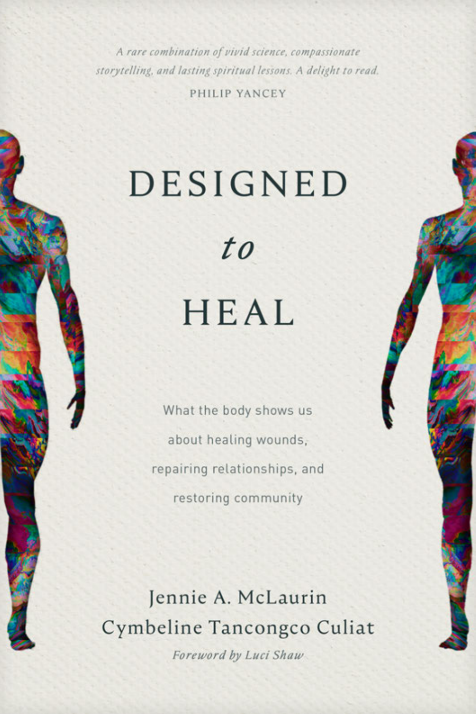A rare combination of vivid science, compassionate storytelling, and lasting spiritual lessons. A delight to read.

PHILIP YANCEY

## DESIGNED

 $to$ 

## HEAL

What the body shows us about healing wounds, repairing relationships, and restoring community

Jennie A. McLaurin Cymbeline Tancongco Culiat

Foreword by Luci Shaw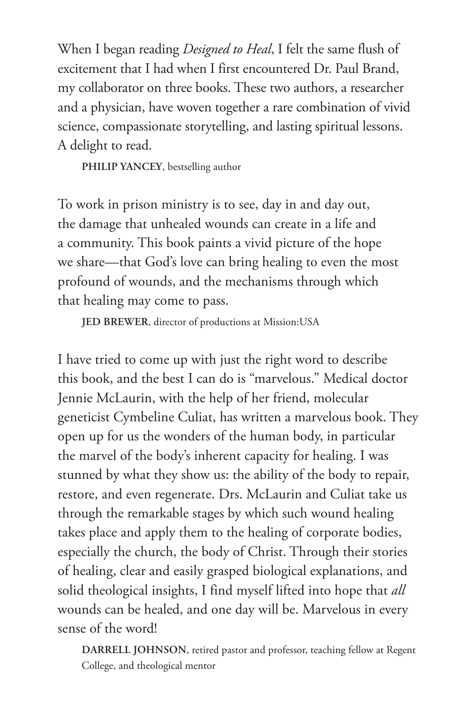When I began reading *Designed to Heal*, I felt the same flush of excitement that I had when I first encountered Dr. Paul Brand, my collaborator on three books. These two authors, a researcher and a physician, have woven together a rare combination of vivid science, compassionate storytelling, and lasting spiritual lessons. A delight to read.

**PHILIP YANCEY**, bestselling author

To work in prison ministry is to see, day in and day out, the damage that unhealed wounds can create in a life and a community. This book paints a vivid picture of the hope we share—that God's love can bring healing to even the most profound of wounds, and the mechanisms through which that healing may come to pass.

**JED BREWER**, director of productions at Mission:USA

I have tried to come up with just the right word to describe this book, and the best I can do is "marvelous." Medical doctor Jennie McLaurin, with the help of her friend, molecular geneticist Cymbeline Culiat, has written a marvelous book. They open up for us the wonders of the human body, in particular the marvel of the body's inherent capacity for healing. I was stunned by what they show us: the ability of the body to repair, restore, and even regenerate. Drs. McLaurin and Culiat take us through the remarkable stages by which such wound healing takes place and apply them to the healing of corporate bodies, especially the church, the body of Christ. Through their stories of healing, clear and easily grasped biological explanations, and solid theological insights, I find myself lifted into hope that *all* wounds can be healed, and one day will be. Marvelous in every sense of the word!

**DARRELL JOHNSON**, retired pastor and professor, teaching fellow at Regent College, and theological mentor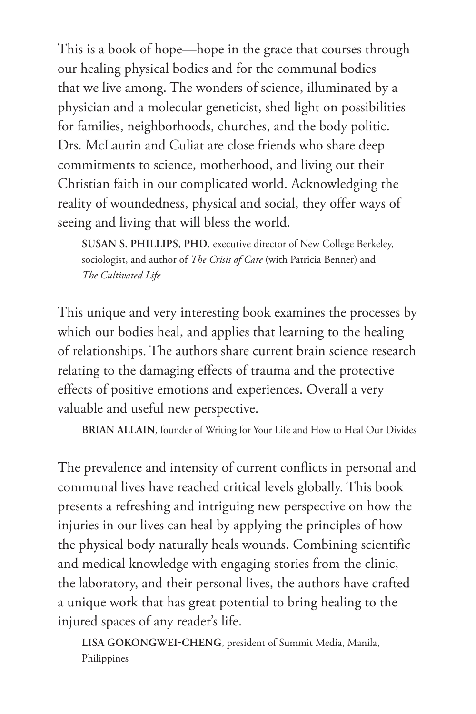This is a book of hope—hope in the grace that courses through our healing physical bodies and for the communal bodies that we live among. The wonders of science, illuminated by a physician and a molecular geneticist, shed light on possibilities for families, neighborhoods, churches, and the body politic. Drs. McLaurin and Culiat are close friends who share deep commitments to science, motherhood, and living out their Christian faith in our complicated world. Acknowledging the reality of woundedness, physical and social, they offer ways of seeing and living that will bless the world.

**SUSAN S. PHILLIPS, PHD**, executive director of New College Berkeley, sociologist, and author of *The Crisis of Care* (with Patricia Benner) and *The Cultivated Life*

This unique and very interesting book examines the processes by which our bodies heal, and applies that learning to the healing of relationships. The authors share current brain science research relating to the damaging effects of trauma and the protective effects of positive emotions and experiences. Overall a very valuable and useful new perspective.

**BRIAN ALLAIN**, founder of Writing for Your Life and How to Heal Our Divides

The prevalence and intensity of current conflicts in personal and communal lives have reached critical levels globally. This book presents a refreshing and intriguing new perspective on how the injuries in our lives can heal by applying the principles of how the physical body naturally heals wounds. Combining scientific and medical knowledge with engaging stories from the clinic, the laboratory, and their personal lives, the authors have crafted a unique work that has great potential to bring healing to the injured spaces of any reader's life.

**LISA GOKONGWEI-CHENG**, president of Summit Media, Manila, Philippines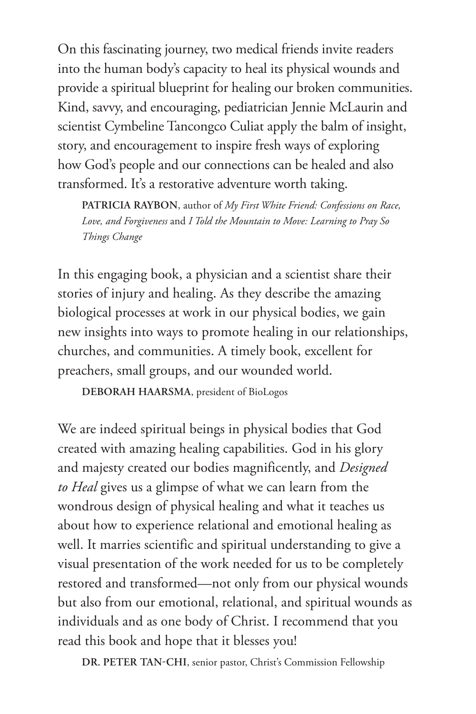On this fascinating journey, two medical friends invite readers into the human body's capacity to heal its physical wounds and provide a spiritual blueprint for healing our broken communities. Kind, savvy, and encouraging, pediatrician Jennie McLaurin and scientist Cymbeline Tancongco Culiat apply the balm of insight, story, and encouragement to inspire fresh ways of exploring how God's people and our connections can be healed and also transformed. It's a restorative adventure worth taking.

**PATRICIA RAYBON**, author of *My First White Friend: Confessions on Race, Love, and Forgiveness* and *I Told the Mountain to Move: Learning to Pray So Things Change*

In this engaging book, a physician and a scientist share their stories of injury and healing. As they describe the amazing biological processes at work in our physical bodies, we gain new insights into ways to promote healing in our relationships, churches, and communities. A timely book, excellent for preachers, small groups, and our wounded world.

**DEBORAH HAARSMA**, president of BioLogos

We are indeed spiritual beings in physical bodies that God created with amazing healing capabilities. God in his glory and majesty created our bodies magnificently, and *Designed to Heal* gives us a glimpse of what we can learn from the wondrous design of physical healing and what it teaches us about how to experience relational and emotional healing as well. It marries scientific and spiritual understanding to give a visual presentation of the work needed for us to be completely restored and transformed—not only from our physical wounds but also from our emotional, relational, and spiritual wounds as individuals and as one body of Christ. I recommend that you read this book and hope that it blesses you!

**DR. PETER TAN-CHI**, senior pastor, Christ's Commission Fellowship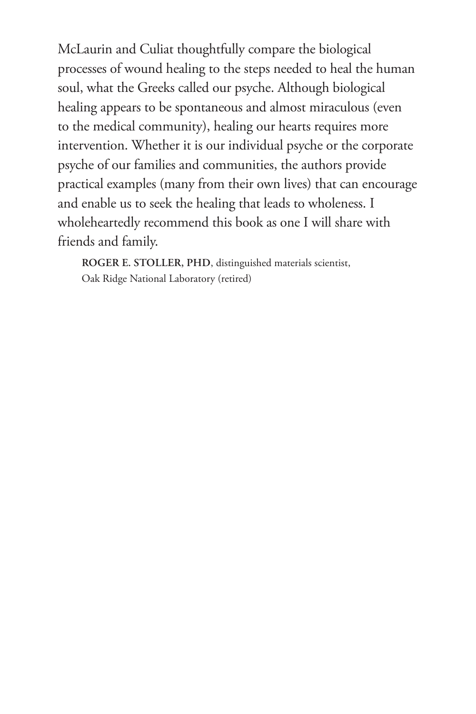McLaurin and Culiat thoughtfully compare the biological processes of wound healing to the steps needed to heal the human soul, what the Greeks called our psyche. Although biological healing appears to be spontaneous and almost miraculous (even to the medical community), healing our hearts requires more intervention. Whether it is our individual psyche or the corporate psyche of our families and communities, the authors provide practical examples (many from their own lives) that can encourage and enable us to seek the healing that leads to wholeness. I wholeheartedly recommend this book as one I will share with friends and family.

**ROGER E. STOLLER, PHD**, distinguished materials scientist, Oak Ridge National Laboratory (retired)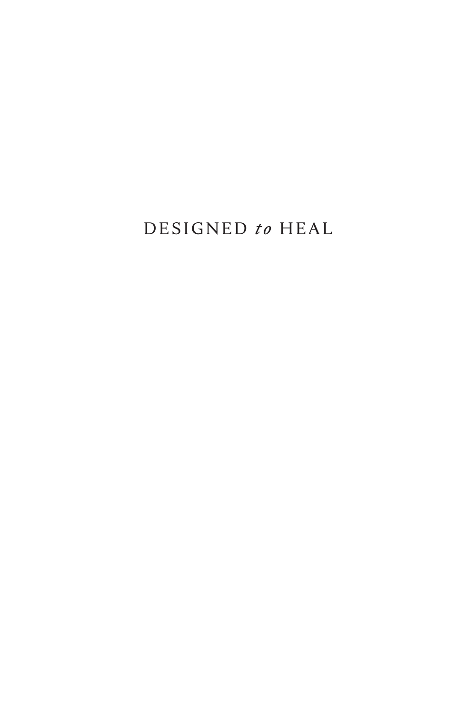## DESIGNED to HEAL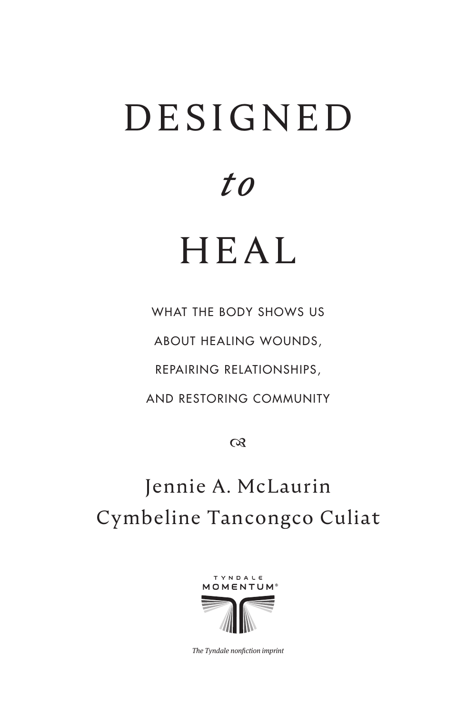# D E S I G N E D

*to* 

## HEAL

WHAT THE BODY SHOWS US ABOUT HEALING WOUNDS, REPAIRING RELATIONSHIPS, AND RESTORING COMMUNITY

 $\infty$ 

## Jennie A. McLaurin Cymbeline Tancongco Culiat



The Tyndale nonfiction imprint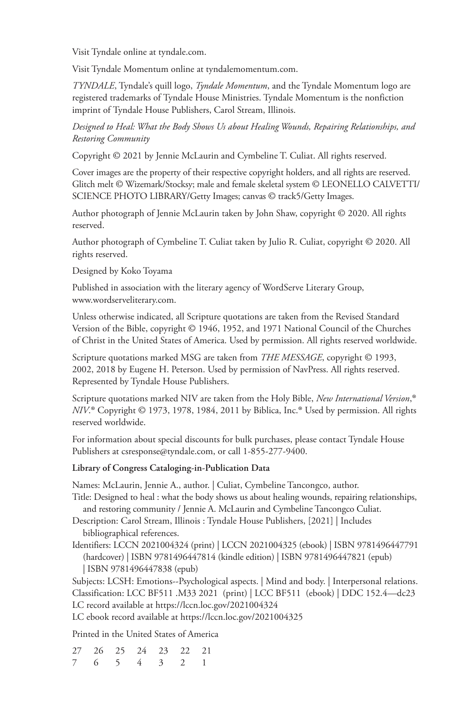Visit Tyndale online at tyndale.com.

Visit Tyndale Momentum online at tyndalemomentum.com.

*TYNDALE*, Tyndale's quill logo, *Tyndale Momentum*, and the Tyndale Momentum logo are registered trademarks of Tyndale House Ministries. Tyndale Momentum is the nonfiction imprint of Tyndale House Publishers, Carol Stream, Illinois.

*Designed to Heal: What the Body Shows Us about Healing Wounds, Repairing Relationships, and Restoring Community*

Copyright © 2021 by Jennie McLaurin and Cymbeline T. Culiat. All rights reserved.

Cover images are the property of their respective copyright holders, and all rights are reserved. Glitch melt © Wizemark/Stocksy; male and female skeletal system © LEONELLO CALVETTI/ SCIENCE PHOTO LIBRARY/Getty Images; canvas © track5/Getty Images.

Author photograph of Jennie McLaurin taken by John Shaw, copyright © 2020. All rights reserved.

Author photograph of Cymbeline T. Culiat taken by Julio R. Culiat, copyright © 2020. All rights reserved.

Designed by Koko Toyama

Published in association with the literary agency of WordServe Literary Group, www.wordserveliterary.com.

Unless otherwise indicated, all Scripture quotations are taken from the Revised Standard Version of the Bible, copyright © 1946, 1952, and 1971 National Council of the Churches of Christ in the United States of America. Used by permission. All rights reserved worldwide.

Scripture quotations marked MSG are taken from *THE MESSAGE*, copyright © 1993, 2002, 2018 by Eugene H. Peterson. Used by permission of NavPress. All rights reserved. Represented by Tyndale House Publishers.

Scripture quotations marked NIV are taken from the Holy Bible, *New International Version*, Scripture quotations marked NIV are taken from the Holy Bible, *New International Version*,®<br>*NIV*.® Copyright © 1973, 1978, 1984, 2011 by Biblica, Inc.® Used by permission. All rights reserved worldwide.

For information about special discounts for bulk purchases, please contact Tyndale House Publishers at csresponse@tyndale.com, or call 1-855-277-9400.

#### **Library of Congress Cataloging-in-Publication Data**

Names: McLaurin, Jennie A., author. | Culiat, Cymbeline Tancongco, author.

Title: Designed to heal : what the body shows us about healing wounds, repairing relationships, and restoring community / Jennie A. McLaurin and Cymbeline Tancongco Culiat.

Description: Carol Stream, Illinois : Tyndale House Publishers, [2021] | Includes bibliographical references.

Identifiers: LCCN 2021004324 (print) | LCCN 2021004325 (ebook) | ISBN 9781496447791 (hardcover) | ISBN 9781496447814 (kindle edition) | ISBN 9781496447821 (epub) | ISBN 9781496447838 (epub)

Subjects: LCSH: Emotions--Psychological aspects. | Mind and body. | Interpersonal relations. Classification: LCC BF511 .M33 2021 (print) | LCC BF511 (ebook) | DDC 152.4—dc23 LC record available at https://lccn.loc.gov/2021004324

LC ebook record available at https://lccn.loc.gov/2021004325

Printed in the United States of America

27 26 25 24 23 22 21 7 6 5 4 3 2 1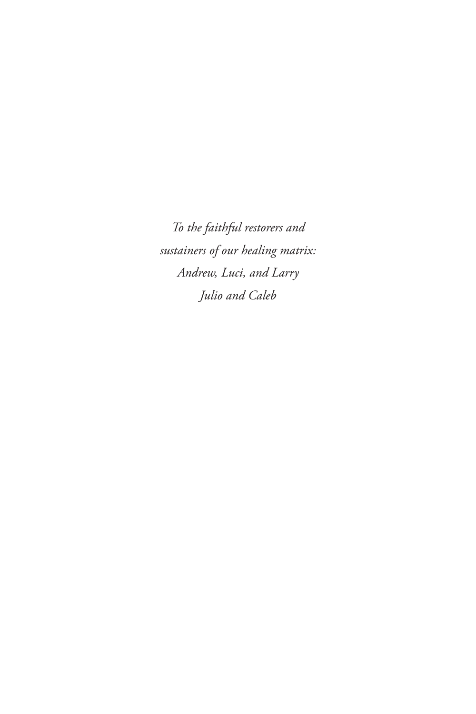*To the faithful restorers and sustainers of our healing matrix: Andrew, Luci, and Larry Julio and Caleb*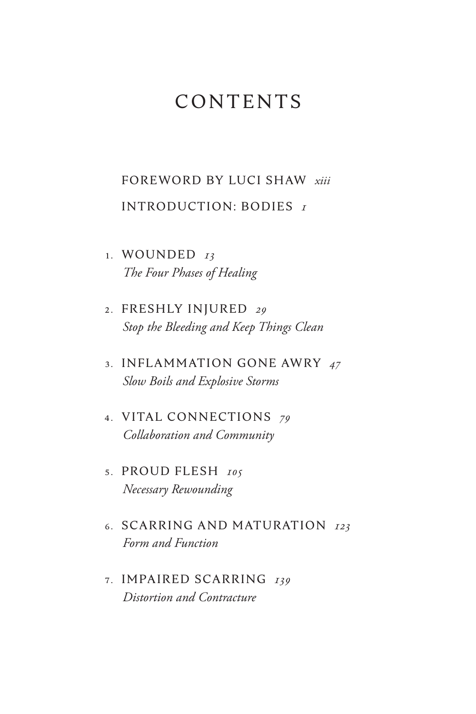## CONTENTS

### [FOREWORD BY LUCI SHAW](#page-13-0) *xiii*  [INTRODUCTION: BODIES](#page-17-0) *1*

- 1 . WOUNDED *13 [The Four Phases of Healing](#page-29-0)*
- 2 . FRESHLY INJURED *29 Stop the Bleeding and Keep Things Clean*
- 3 . INFLAMMATION GONE AWRY *47 Slow Boils and Explosive Storms*
- 4 . VITAL CONNECTIONS *79 Collaboration and Community*
- 5 . PROUD FLESH *105 Necessary Rewounding*
- 6 . SCARRING AND MATURATION *123 Form and Function*
- 7 . IMPAIRED SCARRING *139 Distortion and Contracture*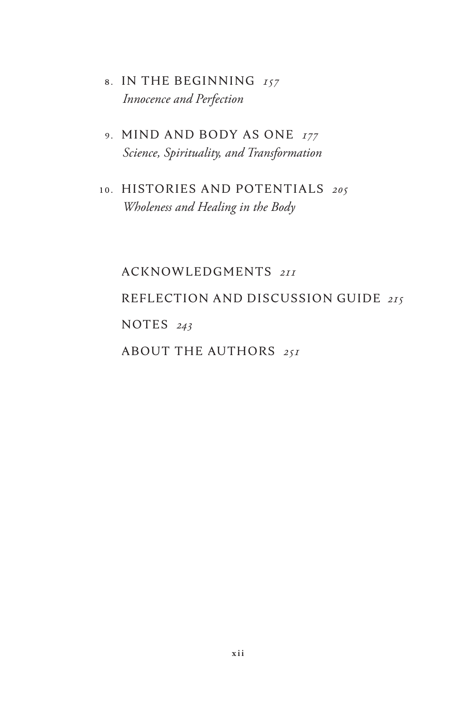- 8 . IN THE BEGINNING *157 Innocence and Perfection*
- 9 . MIND AND BODY AS ONE *177 Science, Spirituality, and Transformation*
- 10. HISTORIES AND POTENTIALS *205 Wholeness and Healing in the Body*

 ACKNOWLEDGMENTS *211* REFLECTION AND DISCUSSION GUIDE *215* NOTES *243* ABOUT THE AUTHORS *251*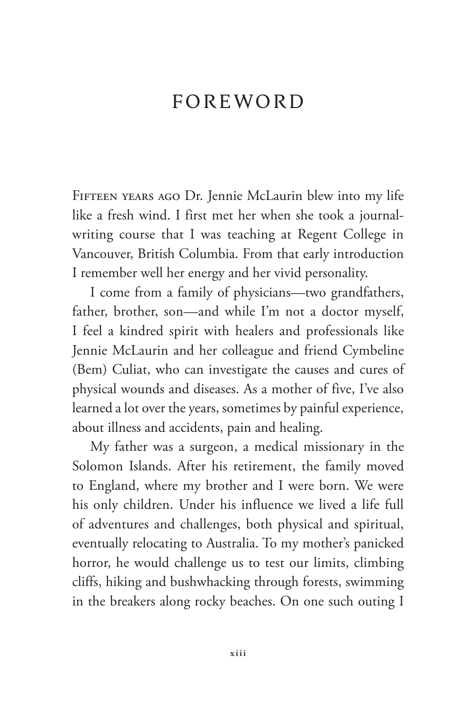### <span id="page-13-0"></span>FOREWORD

Fifteen years ago Dr. Jennie McLaurin blew into my life like a fresh wind. I first met her when she took a journalwriting course that I was teaching at Regent College in Vancouver, British Columbia. From that early introduction I remember well her energy and her vivid personality.

I come from a family of physicians—two grandfathers, father, brother, son—and while I'm not a doctor myself, I feel a kindred spirit with healers and professionals like Jennie McLaurin and her colleague and friend Cymbeline (Bem) Culiat, who can investigate the causes and cures of physical wounds and diseases. As a mother of five, I've also learned a lot over the years, sometimes by painful experience, about illness and accidents, pain and healing.

My father was a surgeon, a medical missionary in the Solomon Islands. After his retirement, the family moved to England, where my brother and I were born. We were his only children. Under his influence we lived a life full of adventures and challenges, both physical and spiritual, eventually relocating to Australia. To my mother's panicked horror, he would challenge us to test our limits, climbing cliffs, hiking and bushwhacking through forests, swimming in the breakers along rocky beaches. On one such outing I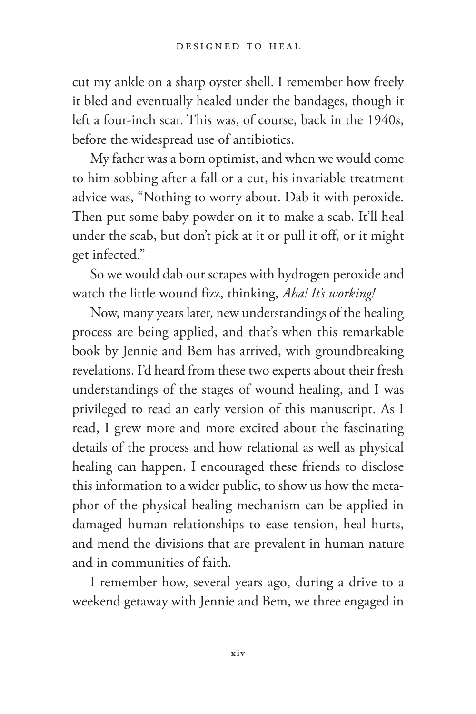cut my ankle on a sharp oyster shell. I remember how freely it bled and eventually healed under the bandages, though it left a four-inch scar. This was, of course, back in the 1940s, before the widespread use of antibiotics.

My father was a born optimist, and when we would come to him sobbing after a fall or a cut, his invariable treatment advice was, "Nothing to worry about. Dab it with peroxide. Then put some baby powder on it to make a scab. It'll heal under the scab, but don't pick at it or pull it off, or it might get infected."

So we would dab our scrapes with hydrogen peroxide and watch the little wound fizz, thinking, *Aha! It's working!*

Now, many years later, new understandings of the healing process are being applied, and that's when this remarkable book by Jennie and Bem has arrived, with groundbreaking revelations. I'd heard from these two experts about their fresh understandings of the stages of wound healing, and I was privileged to read an early version of this manuscript. As I read, I grew more and more excited about the fascinating details of the process and how relational as well as physical healing can happen. I encouraged these friends to disclose this information to a wider public, to show us how the metaphor of the physical healing mechanism can be applied in damaged human relationships to ease tension, heal hurts, and mend the divisions that are prevalent in human nature and in communities of faith.

I remember how, several years ago, during a drive to a weekend getaway with Jennie and Bem, we three engaged in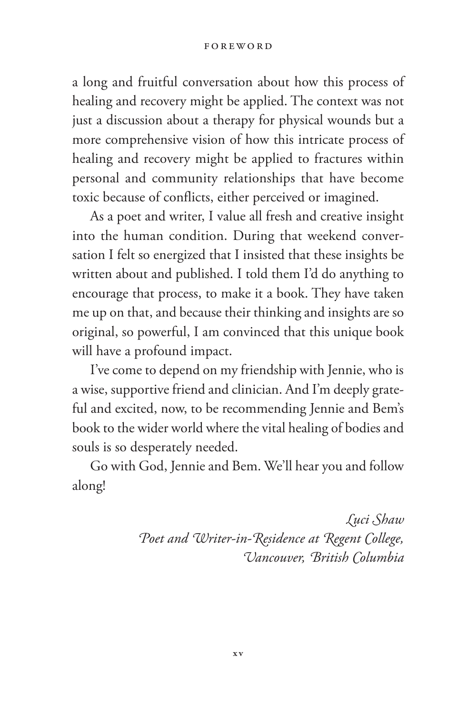#### **FOREWORD**

a long and fruitful conversation about how this process of healing and recovery might be applied. The context was not just a discussion about a therapy for physical wounds but a more comprehensive vision of how this intricate process of healing and recovery might be applied to fractures within personal and community relationships that have become toxic because of conflicts, either perceived or imagined.

As a poet and writer, I value all fresh and creative insight into the human condition. During that weekend conversation I felt so energized that I insisted that these insights be written about and published. I told them I'd do anything to encourage that process, to make it a book. They have taken me up on that, and because their thinking and insights are so original, so powerful, I am convinced that this unique book will have a profound impact.

I've come to depend on my friendship with Jennie, who is a wise, supportive friend and clinician. And I'm deeply grateful and excited, now, to be recommending Jennie and Bem's book to the wider world where the vital healing of bodies and souls is so desperately needed.

Go with God, Jennie and Bem. We'll hear you and follow along!

> *Luci Shaw Poet and Writer-in-Residence at Regent College, Vancouver, British Columbia*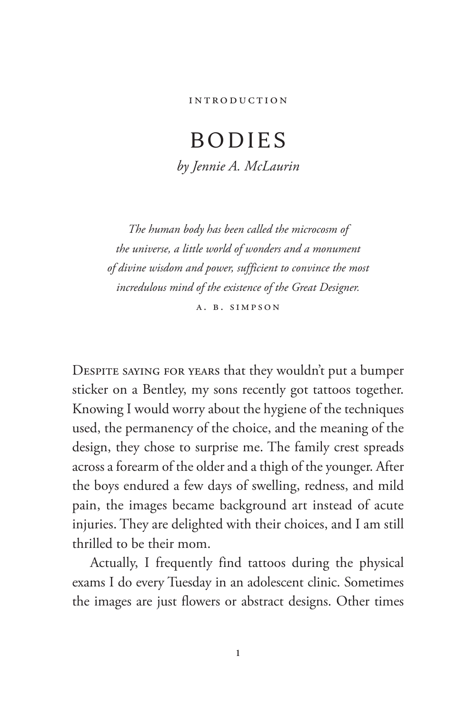## <span id="page-17-0"></span>BODIES *by Jennie A. McLaurin*

*The human body has been called the microcosm of the universe, a little world of wonders and a monument of divine wisdom and power, sufficient to convince the most incredulous mind of the existence of the Great Designer.* A. B. Simpson

Despite saying for years that they wouldn't put a bumper sticker on a Bentley, my sons recently got tattoos together. Knowing I would worry about the hygiene of the techniques used, the permanency of the choice, and the meaning of the design, they chose to surprise me. The family crest spreads across a forearm of the older and a thigh of the younger. After the boys endured a few days of swelling, redness, and mild pain, the images became background art instead of acute injuries. They are delighted with their choices, and I am still thrilled to be their mom.

Actually, I frequently find tattoos during the physical exams I do every Tuesday in an adolescent clinic. Sometimes the images are just flowers or abstract designs. Other times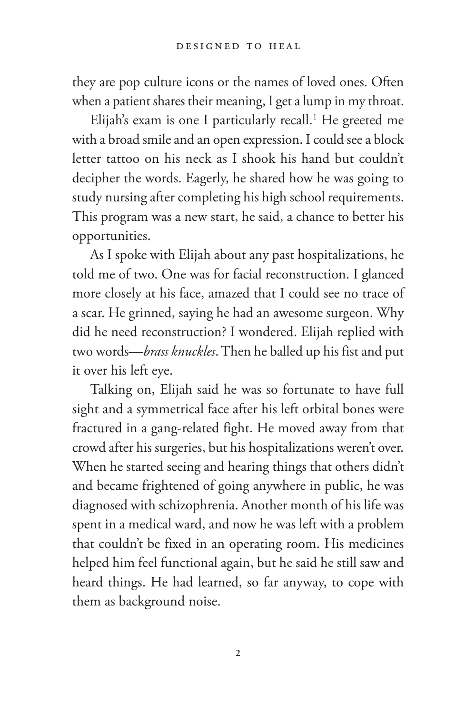they are pop culture icons or the names of loved ones. Often when a patient shares their meaning, I get a lump in my throat.

Elijah's exam is one I particularly recall.<sup>1</sup> He greeted me with a broad smile and an open expression. I could see a block letter tattoo on his neck as I shook his hand but couldn't decipher the words. Eagerly, he shared how he was going to study nursing after completing his high school requirements. This program was a new start, he said, a chance to better his opportunities.

As I spoke with Elijah about any past hospitalizations, he told me of two. One was for facial reconstruction. I glanced more closely at his face, amazed that I could see no trace of a scar. He grinned, saying he had an awesome surgeon. Why did he need reconstruction? I wondered. Elijah replied with two words—*brass knuckles*. Then he balled up his fist and put it over his left eye.

Talking on, Elijah said he was so fortunate to have full sight and a symmetrical face after his left orbital bones were fractured in a gang-related fight. He moved away from that crowd after his surgeries, but his hospitalizations weren't over. When he started seeing and hearing things that others didn't and became frightened of going anywhere in public, he was diagnosed with schizophrenia. Another month of his life was spent in a medical ward, and now he was left with a problem that couldn't be fixed in an operating room. His medicines helped him feel functional again, but he said he still saw and heard things. He had learned, so far anyway, to cope with them as background noise.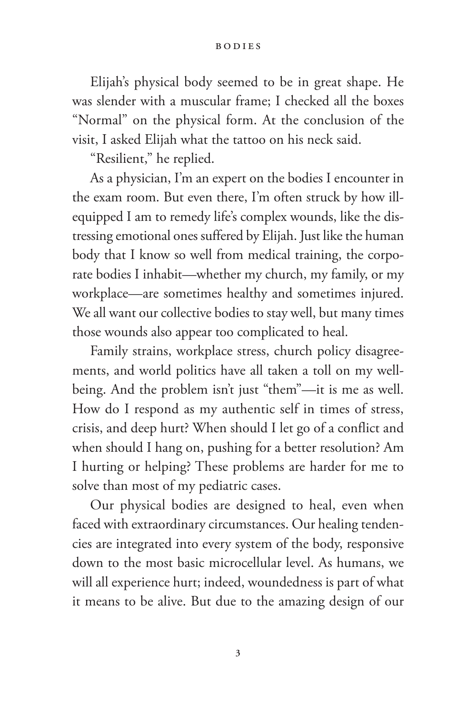#### Bodies

Elijah's physical body seemed to be in great shape. He was slender with a muscular frame; I checked all the boxes "Normal" on the physical form. At the conclusion of the visit, I asked Elijah what the tattoo on his neck said.

"Resilient," he replied.

As a physician, I'm an expert on the bodies I encounter in the exam room. But even there, I'm often struck by how illequipped I am to remedy life's complex wounds, like the distressing emotional ones suffered by Elijah. Just like the human body that I know so well from medical training, the corporate bodies I inhabit—whether my church, my family, or my workplace—are sometimes healthy and sometimes injured. We all want our collective bodies to stay well, but many times those wounds also appear too complicated to heal.

Family strains, workplace stress, church policy disagreements, and world politics have all taken a toll on my wellbeing. And the problem isn't just "them"—it is me as well. How do I respond as my authentic self in times of stress, crisis, and deep hurt? When should I let go of a conflict and when should I hang on, pushing for a better resolution? Am I hurting or helping? These problems are harder for me to solve than most of my pediatric cases.

Our physical bodies are designed to heal, even when faced with extraordinary circumstances. Our healing tendencies are integrated into every system of the body, responsive down to the most basic microcellular level. As humans, we will all experience hurt; indeed, woundedness is part of what it means to be alive. But due to the amazing design of our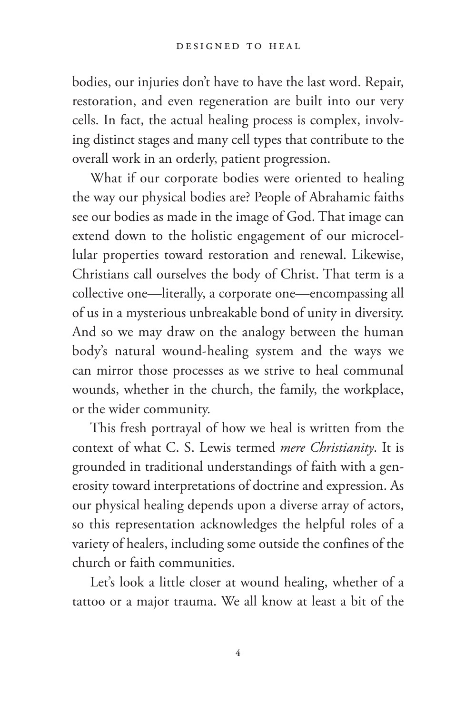bodies, our injuries don't have to have the last word. Repair, restoration, and even regeneration are built into our very cells. In fact, the actual healing process is complex, involving distinct stages and many cell types that contribute to the overall work in an orderly, patient progression.

What if our corporate bodies were oriented to healing the way our physical bodies are? People of Abrahamic faiths see our bodies as made in the image of God. That image can extend down to the holistic engagement of our microcellular properties toward restoration and renewal. Likewise, Christians call ourselves the body of Christ. That term is a collective one—literally, a corporate one—encompassing all of us in a mysterious unbreakable bond of unity in diversity. And so we may draw on the analogy between the human body's natural wound-healing system and the ways we can mirror those processes as we strive to heal communal wounds, whether in the church, the family, the workplace, or the wider community.

This fresh portrayal of how we heal is written from the context of what C. S. Lewis termed *mere Christianity*. It is grounded in traditional understandings of faith with a generosity toward interpretations of doctrine and expression. As our physical healing depends upon a diverse array of actors, so this representation acknowledges the helpful roles of a variety of healers, including some outside the confines of the church or faith communities.

Let's look a little closer at wound healing, whether of a tattoo or a major trauma. We all know at least a bit of the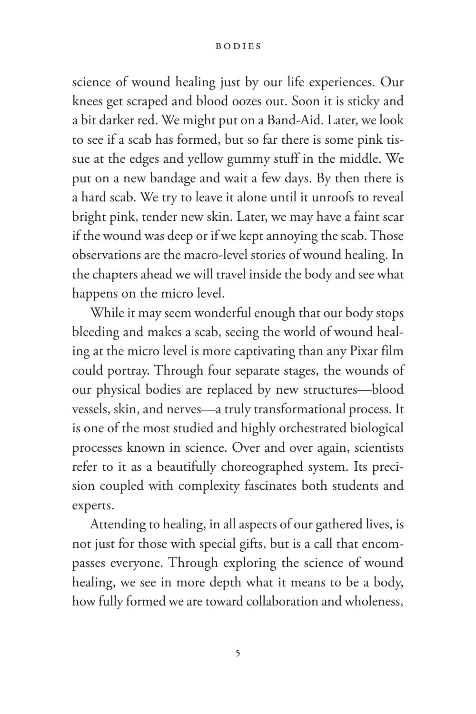#### Bodies

science of wound healing just by our life experiences. Our knees get scraped and blood oozes out. Soon it is sticky and a bit darker red. We might put on a Band-Aid. Later, we look to see if a scab has formed, but so far there is some pink tissue at the edges and yellow gummy stuff in the middle. We put on a new bandage and wait a few days. By then there is a hard scab. We try to leave it alone until it unroofs to reveal bright pink, tender new skin. Later, we may have a faint scar if the wound was deep or if we kept annoying the scab. Those observations are the macro-level stories of wound healing. In the chapters ahead we will travel inside the body and see what happens on the micro level.

While it may seem wonderful enough that our body stops bleeding and makes a scab, seeing the world of wound healing at the micro level is more captivating than any Pixar film could portray. Through four separate stages, the wounds of our physical bodies are replaced by new structures—blood vessels, skin, and nerves—a truly transformational process. It is one of the most studied and highly orchestrated biological processes known in science. Over and over again, scientists refer to it as a beautifully choreographed system. Its precision coupled with complexity fascinates both students and experts.

Attending to healing, in all aspects of our gathered lives, is not just for those with special gifts, but is a call that encompasses everyone. Through exploring the science of wound healing, we see in more depth what it means to be a body, how fully formed we are toward collaboration and wholeness,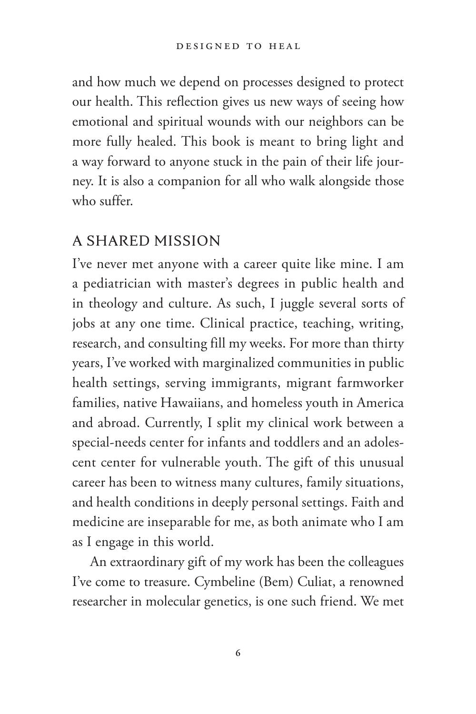and how much we depend on processes designed to protect our health. This reflection gives us new ways of seeing how emotional and spiritual wounds with our neighbors can be more fully healed. This book is meant to bring light and a way forward to anyone stuck in the pain of their life journey. It is also a companion for all who walk alongside those who suffer.

### A SHARED MISSION

I've never met anyone with a career quite like mine. I am a pediatrician with master's degrees in public health and in theology and culture. As such, I juggle several sorts of jobs at any one time. Clinical practice, teaching, writing, research, and consulting fill my weeks. For more than thirty years, I've worked with marginalized communities in public health settings, serving immigrants, migrant farmworker families, native Hawaiians, and homeless youth in America and abroad. Currently, I split my clinical work between a special-needs center for infants and toddlers and an adolescent center for vulnerable youth. The gift of this unusual career has been to witness many cultures, family situations, and health conditions in deeply personal settings. Faith and medicine are inseparable for me, as both animate who I am as I engage in this world.

An extraordinary gift of my work has been the colleagues I've come to treasure. Cymbeline (Bem) Culiat, a renowned researcher in molecular genetics, is one such friend. We met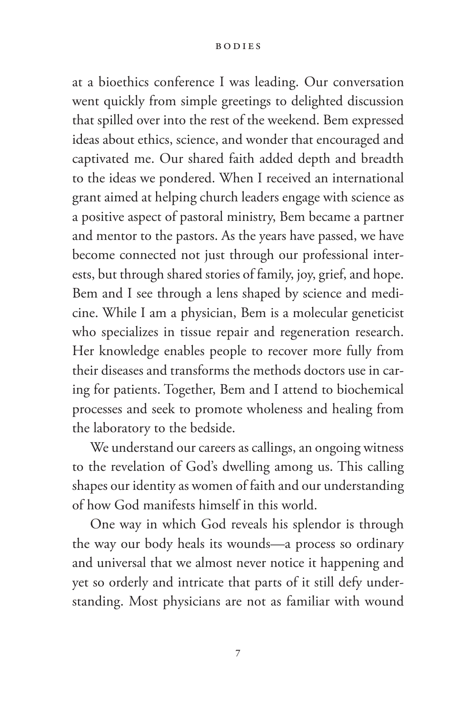at a bioethics conference I was leading. Our conversation went quickly from simple greetings to delighted discussion that spilled over into the rest of the weekend. Bem expressed ideas about ethics, science, and wonder that encouraged and captivated me. Our shared faith added depth and breadth to the ideas we pondered. When I received an international grant aimed at helping church leaders engage with science as a positive aspect of pastoral ministry, Bem became a partner and mentor to the pastors. As the years have passed, we have become connected not just through our professional interests, but through shared stories of family, joy, grief, and hope. Bem and I see through a lens shaped by science and medicine. While I am a physician, Bem is a molecular geneticist who specializes in tissue repair and regeneration research. Her knowledge enables people to recover more fully from their diseases and transforms the methods doctors use in caring for patients. Together, Bem and I attend to biochemical processes and seek to promote wholeness and healing from the laboratory to the bedside.

We understand our careers as callings, an ongoing witness to the revelation of God's dwelling among us. This calling shapes our identity as women of faith and our understanding of how God manifests himself in this world.

One way in which God reveals his splendor is through the way our body heals its wounds—a process so ordinary and universal that we almost never notice it happening and yet so orderly and intricate that parts of it still defy understanding. Most physicians are not as familiar with wound

**7**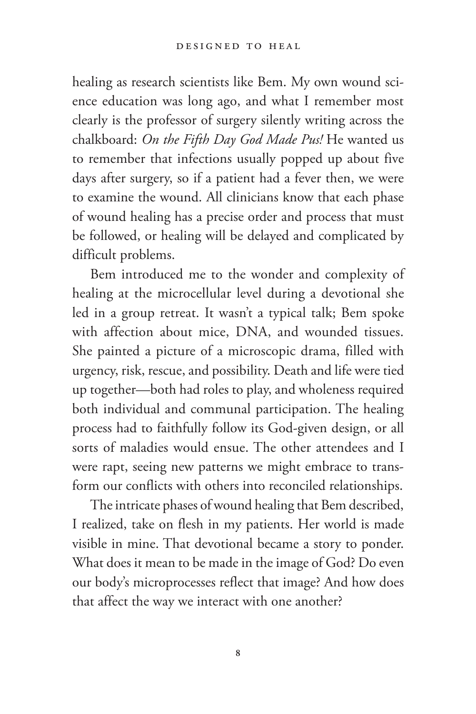healing as research scientists like Bem. My own wound science education was long ago, and what I remember most clearly is the professor of surgery silently writing across the chalkboard: *On the Fifth Day God Made Pus!* He wanted us to remember that infections usually popped up about five days after surgery, so if a patient had a fever then, we were to examine the wound. All clinicians know that each phase of wound healing has a precise order and process that must be followed, or healing will be delayed and complicated by difficult problems.

Bem introduced me to the wonder and complexity of healing at the microcellular level during a devotional she led in a group retreat. It wasn't a typical talk; Bem spoke with affection about mice, DNA, and wounded tissues. She painted a picture of a microscopic drama, filled with urgency, risk, rescue, and possibility. Death and life were tied up together—both had roles to play, and wholeness required both individual and communal participation. The healing process had to faithfully follow its God-given design, or all sorts of maladies would ensue. The other attendees and I were rapt, seeing new patterns we might embrace to transform our conflicts with others into reconciled relationships.

The intricate phases of wound healing that Bem described, I realized, take on flesh in my patients. Her world is made visible in mine. That devotional became a story to ponder. What does it mean to be made in the image of God? Do even our body's microprocesses reflect that image? And how does that affect the way we interact with one another?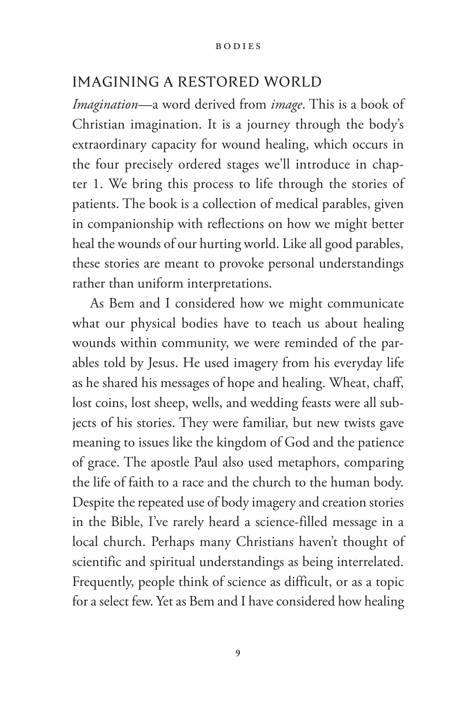### IMAGINING A RESTORED WORLD

*Imagination*—a word derived from *image*. This is a book of Christian imagination. It is a journey through the body's extraordinary capacity for wound healing, which occurs in the four precisely ordered stages we'll introduce in chapter 1. We bring this process to life through the stories of patients. The book is a collection of medical parables, given in companionship with reflections on how we might better heal the wounds of our hurting world. Like all good parables, these stories are meant to provoke personal understandings rather than uniform interpretations.

As Bem and I considered how we might communicate what our physical bodies have to teach us about healing wounds within community, we were reminded of the parables told by Jesus. He used imagery from his everyday life as he shared his messages of hope and healing. Wheat, chaff, lost coins, lost sheep, wells, and wedding feasts were all subjects of his stories. They were familiar, but new twists gave meaning to issues like the kingdom of God and the patience of grace. The apostle Paul also used metaphors, comparing the life of faith to a race and the church to the human body. Despite the repeated use of body imagery and creation stories in the Bible, I've rarely heard a science-filled message in a local church. Perhaps many Christians haven't thought of scientific and spiritual understandings as being interrelated. Frequently, people think of science as difficult, or as a topic for a select few. Yet as Bem and I have considered how healing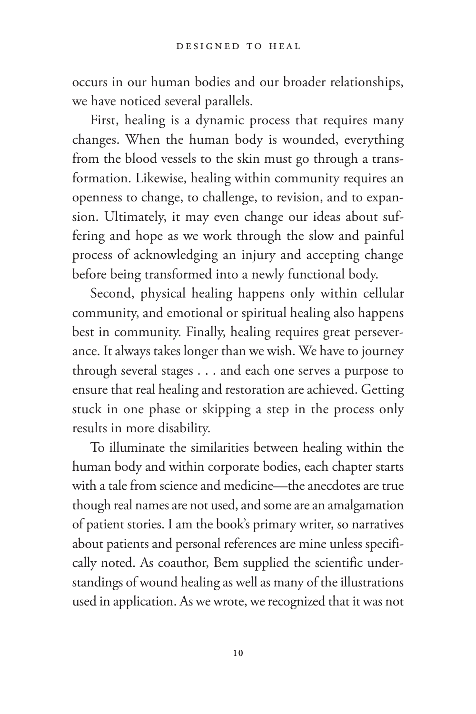occurs in our human bodies and our broader relationships, we have noticed several parallels.

First, healing is a dynamic process that requires many changes. When the human body is wounded, everything from the blood vessels to the skin must go through a transformation. Likewise, healing within community requires an openness to change, to challenge, to revision, and to expansion. Ultimately, it may even change our ideas about suffering and hope as we work through the slow and painful process of acknowledging an injury and accepting change before being transformed into a newly functional body.

Second, physical healing happens only within cellular community, and emotional or spiritual healing also happens best in community. Finally, healing requires great perseverance. It always takes longer than we wish. We have to journey through several stages . . . and each one serves a purpose to ensure that real healing and restoration are achieved. Getting stuck in one phase or skipping a step in the process only results in more disability.

To illuminate the similarities between healing within the human body and within corporate bodies, each chapter starts with a tale from science and medicine—the anecdotes are true though real names are not used, and some are an amalgamation of patient stories. I am the book's primary writer, so narratives about patients and personal references are mine unless specifically noted. As coauthor, Bem supplied the scientific understandings of wound healing as well as many of the illustrations used in application. As we wrote, we recognized that it was not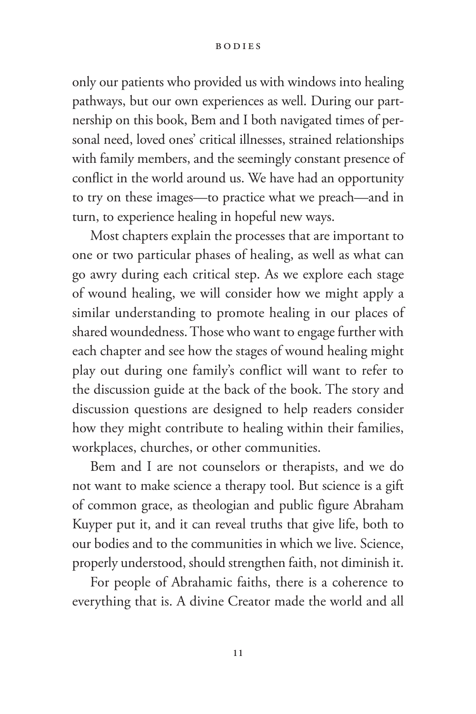#### Bodies

only our patients who provided us with windows into healing pathways, but our own experiences as well. During our partnership on this book, Bem and I both navigated times of personal need, loved ones' critical illnesses, strained relationships with family members, and the seemingly constant presence of conflict in the world around us. We have had an opportunity to try on these images—to practice what we preach—and in turn, to experience healing in hopeful new ways.

Most chapters explain the processes that are important to one or two particular phases of healing, as well as what can go awry during each critical step. As we explore each stage of wound healing, we will consider how we might apply a similar understanding to promote healing in our places of shared woundedness. Those who want to engage further with each chapter and see how the stages of wound healing might play out during one family's conflict will want to refer to the discussion guide at the back of the book. The story and discussion questions are designed to help readers consider how they might contribute to healing within their families, workplaces, churches, or other communities.

Bem and I are not counselors or therapists, and we do not want to make science a therapy tool. But science is a gift of common grace, as theologian and public figure Abraham Kuyper put it, and it can reveal truths that give life, both to our bodies and to the communities in which we live. Science, properly understood, should strengthen faith, not diminish it.

For people of Abrahamic faiths, there is a coherence to everything that is. A divine Creator made the world and all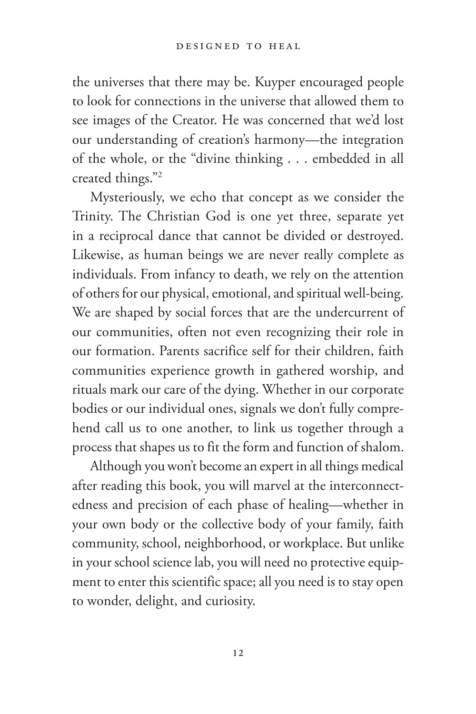the universes that there may be. Kuyper encouraged people to look for connections in the universe that allowed them to see images of the Creator. He was concerned that we'd lost our understanding of creation's harmony—the integration of the whole, or the "divine thinking . . . embedded in all created things."2

Mysteriously, we echo that concept as we consider the Trinity. The Christian God is one yet three, separate yet in a reciprocal dance that cannot be divided or destroyed. Likewise, as human beings we are never really complete as individuals. From infancy to death, we rely on the attention of others for our physical, emotional, and spiritual well-being. We are shaped by social forces that are the undercurrent of our communities, often not even recognizing their role in our formation. Parents sacrifice self for their children, faith communities experience growth in gathered worship, and rituals mark our care of the dying. Whether in our corporate bodies or our individual ones, signals we don't fully comprehend call us to one another, to link us together through a process that shapes us to fit the form and function of shalom.

Although you won't become an expert in all things medical after reading this book, you will marvel at the interconnectedness and precision of each phase of healing—whether in your own body or the collective body of your family, faith community, school, neighborhood, or workplace. But unlike in your school science lab, you will need no protective equipment to enter this scientific space; all you need is to stay open to wonder, delight, and curiosity.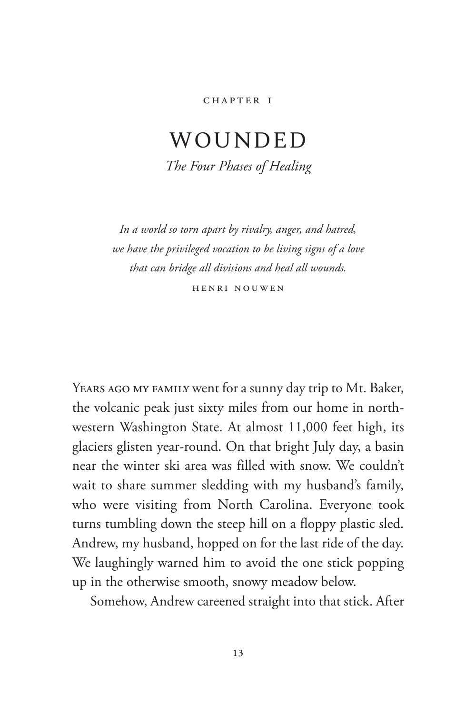#### CHAPTER I

## <span id="page-29-0"></span>WOUNDED *The Four Phases of Healing*

*In a world so torn apart by rivalry, anger, and hatred, we have the privileged vocation to be living signs of a love* 

*that can bridge all divisions and heal all wounds.*

Henri Nouwen

Years ago my family went for a sunny day trip to Mt. Baker, the volcanic peak just sixty miles from our home in northwestern Washington State. At almost 11,000 feet high, its glaciers glisten year-round. On that bright July day, a basin near the winter ski area was filled with snow. We couldn't wait to share summer sledding with my husband's family, who were visiting from North Carolina. Everyone took turns tumbling down the steep hill on a floppy plastic sled. Andrew, my husband, hopped on for the last ride of the day. We laughingly warned him to avoid the one stick popping up in the otherwise smooth, snowy meadow below.

Somehow, Andrew careened straight into that stick. After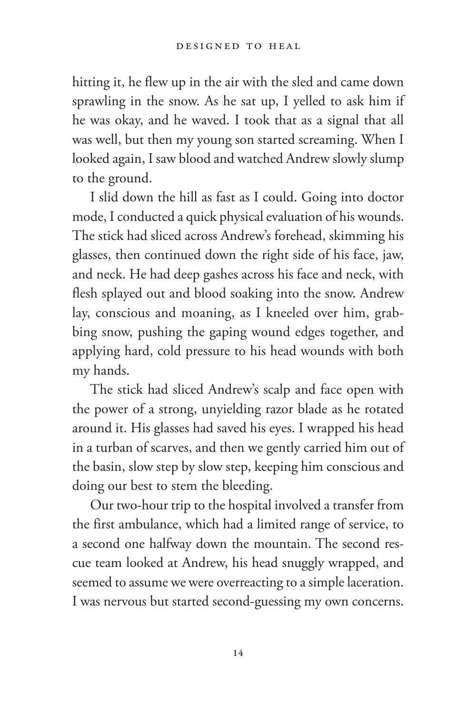hitting it, he flew up in the air with the sled and came down sprawling in the snow. As he sat up, I yelled to ask him if he was okay, and he waved. I took that as a signal that all was well, but then my young son started screaming. When I looked again, I saw blood and watched Andrew slowly slump to the ground.

I slid down the hill as fast as I could. Going into doctor mode, I conducted a quick physical evaluation of his wounds. The stick had sliced across Andrew's forehead, skimming his glasses, then continued down the right side of his face, jaw, and neck. He had deep gashes across his face and neck, with flesh splayed out and blood soaking into the snow. Andrew lay, conscious and moaning, as I kneeled over him, grabbing snow, pushing the gaping wound edges together, and applying hard, cold pressure to his head wounds with both my hands.

The stick had sliced Andrew's scalp and face open with the power of a strong, unyielding razor blade as he rotated around it. His glasses had saved his eyes. I wrapped his head in a turban of scarves, and then we gently carried him out of the basin, slow step by slow step, keeping him conscious and doing our best to stem the bleeding.

Our two-hour trip to the hospital involved a transfer from the first ambulance, which had a limited range of service, to a second one halfway down the mountain. The second rescue team looked at Andrew, his head snuggly wrapped, and seemed to assume we were overreacting to a simple laceration. I was nervous but started second-guessing my own concerns.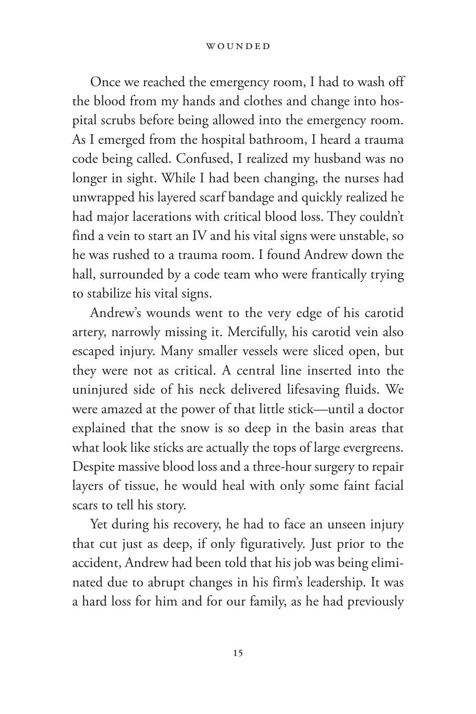#### WOUNDED

Once we reached the emergency room, I had to wash off the blood from my hands and clothes and change into hospital scrubs before being allowed into the emergency room. As I emerged from the hospital bathroom, I heard a trauma code being called. Confused, I realized my husband was no longer in sight. While I had been changing, the nurses had unwrapped his layered scarf bandage and quickly realized he had major lacerations with critical blood loss. They couldn't find a vein to start an IV and his vital signs were unstable, so he was rushed to a trauma room. I found Andrew down the hall, surrounded by a code team who were frantically trying to stabilize his vital signs.

Andrew's wounds went to the very edge of his carotid artery, narrowly missing it. Mercifully, his carotid vein also escaped injury. Many smaller vessels were sliced open, but they were not as critical. A central line inserted into the uninjured side of his neck delivered lifesaving fluids. We were amazed at the power of that little stick—until a doctor explained that the snow is so deep in the basin areas that what look like sticks are actually the tops of large evergreens. Despite massive blood loss and a three-hour surgery to repair layers of tissue, he would heal with only some faint facial scars to tell his story.

Yet during his recovery, he had to face an unseen injury that cut just as deep, if only figuratively. Just prior to the accident, Andrew had been told that his job was being eliminated due to abrupt changes in his firm's leadership. It was a hard loss for him and for our family, as he had previously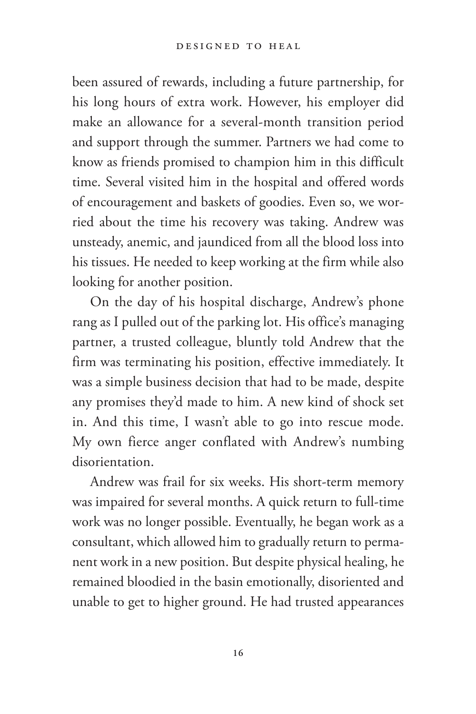been assured of rewards, including a future partnership, for his long hours of extra work. However, his employer did make an allowance for a several-month transition period and support through the summer. Partners we had come to know as friends promised to champion him in this difficult time. Several visited him in the hospital and offered words of encouragement and baskets of goodies. Even so, we worried about the time his recovery was taking. Andrew was unsteady, anemic, and jaundiced from all the blood loss into his tissues. He needed to keep working at the firm while also looking for another position.

On the day of his hospital discharge, Andrew's phone rang as I pulled out of the parking lot. His office's managing partner, a trusted colleague, bluntly told Andrew that the firm was terminating his position, effective immediately. It was a simple business decision that had to be made, despite any promises they'd made to him. A new kind of shock set in. And this time, I wasn't able to go into rescue mode. My own fierce anger conflated with Andrew's numbing disorientation.

Andrew was frail for six weeks. His short-term memory was impaired for several months. A quick return to full-time work was no longer possible. Eventually, he began work as a consultant, which allowed him to gradually return to permanent work in a new position. But despite physical healing, he remained bloodied in the basin emotionally, disoriented and unable to get to higher ground. He had trusted appearances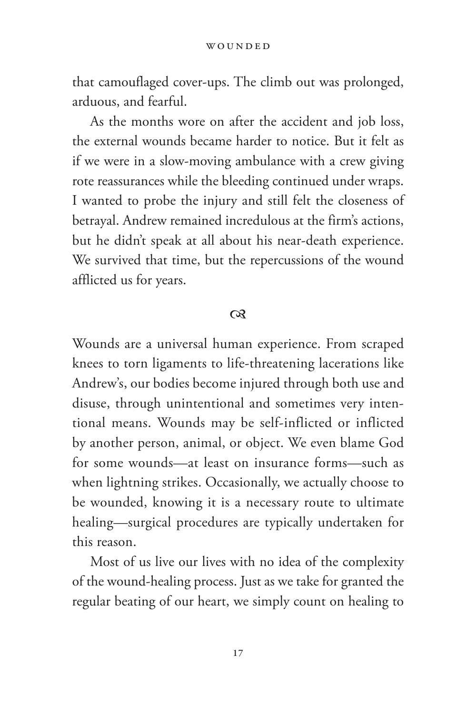that camouflaged cover-ups. The climb out was prolonged, arduous, and fearful.

As the months wore on after the accident and job loss, the external wounds became harder to notice. But it felt as if we were in a slow-moving ambulance with a crew giving rote reassurances while the bleeding continued under wraps. I wanted to probe the injury and still felt the closeness of betrayal. Andrew remained incredulous at the firm's actions, but he didn't speak at all about his near-death experience. We survived that time, but the repercussions of the wound afflicted us for years.

#### $\infty$

Wounds are a universal human experience. From scraped knees to torn ligaments to life-threatening lacerations like Andrew's, our bodies become injured through both use and disuse, through unintentional and sometimes very intentional means. Wounds may be self-inflicted or inflicted by another person, animal, or object. We even blame God for some wounds—at least on insurance forms—such as when lightning strikes. Occasionally, we actually choose to be wounded, knowing it is a necessary route to ultimate healing— surgical procedures are typically undertaken for this reason.

Most of us live our lives with no idea of the complexity of the wound-healing process. Just as we take for granted the regular beating of our heart, we simply count on healing to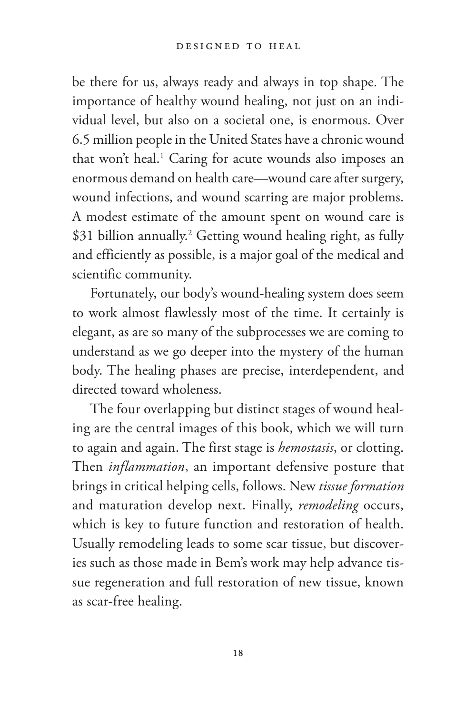be there for us, always ready and always in top shape. The importance of healthy wound healing, not just on an individual level, but also on a societal one, is enormous. Over 6.5 million people in the United States have a chronic wound that won't heal.<sup>1</sup> Caring for acute wounds also imposes an enormous demand on health care—wound care after surgery, wound infections, and wound scarring are major problems. A modest estimate of the amount spent on wound care is \$31 billion annually.<sup>2</sup> Getting wound healing right, as fully and efficiently as possible, is a major goal of the medical and scientific community.

Fortunately, our body's wound-healing system does seem to work almost flawlessly most of the time. It certainly is elegant, as are so many of the subprocesses we are coming to understand as we go deeper into the mystery of the human body. The healing phases are precise, interdependent, and directed toward wholeness.

The four overlapping but distinct stages of wound healing are the central images of this book, which we will turn to again and again. The first stage is *hemostasis*, or clotting. Then *inflammation*, an important defensive posture that brings in critical helping cells, follows. New *tissue formation* and maturation develop next. Finally, *remodeling* occurs, which is key to future function and restoration of health. Usually remodeling leads to some scar tissue, but discoveries such as those made in Bem's work may help advance tissue regeneration and full restoration of new tissue, known as scar-free healing.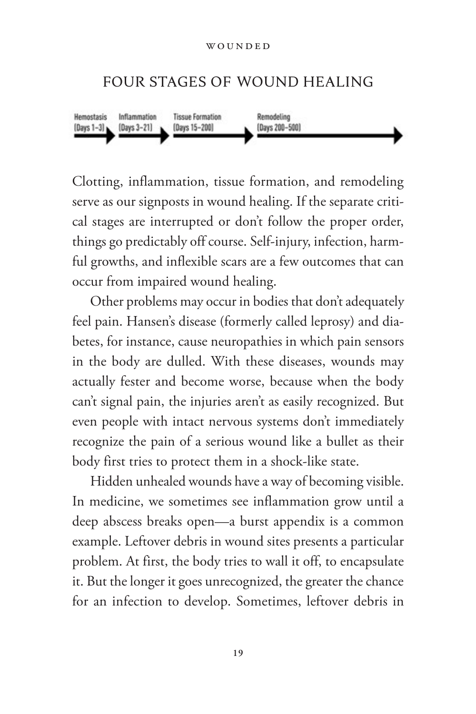#### FOUR STAGES OF WOUND HEALING



Clotting, inflammation, tissue formation, and remodeling serve as our signposts in wound healing. If the separate critical stages are interrupted or don't follow the proper order, things go predictably off course. Self-injury, infection, harmful growths, and inflexible scars are a few outcomes that can occur from impaired wound healing.

Other problems may occur in bodies that don't adequately feel pain. Hansen's disease (formerly called leprosy) and diabetes, for instance, cause neuropathies in which pain sensors in the body are dulled. With these diseases, wounds may actually fester and become worse, because when the body can't signal pain, the injuries aren't as easily recognized. But even people with intact nervous systems don't immediately recognize the pain of a serious wound like a bullet as their body first tries to protect them in a shock-like state.

Hidden unhealed wounds have a way of becoming visible. In medicine, we sometimes see inflammation grow until a deep abscess breaks open—a burst appendix is a common example. Leftover debris in wound sites presents a particular problem. At first, the body tries to wall it off, to encapsulate it. But the longer it goes unrecognized, the greater the chance for an infection to develop. Sometimes, leftover debris in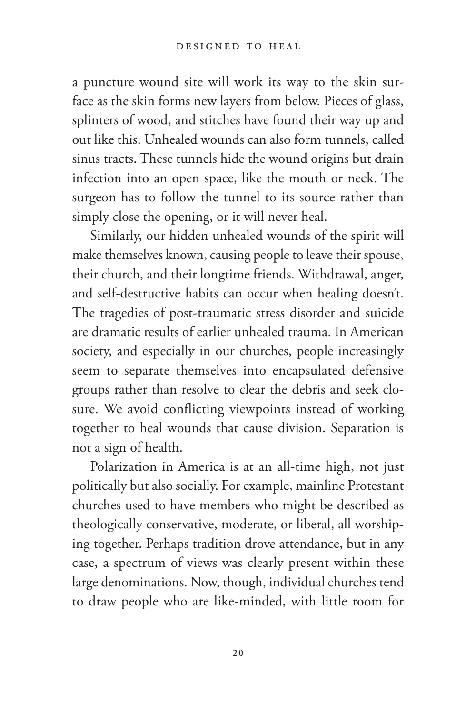a puncture wound site will work its way to the skin surface as the skin forms new layers from below. Pieces of glass, splinters of wood, and stitches have found their way up and out like this. Unhealed wounds can also form tunnels, called sinus tracts. These tunnels hide the wound origins but drain infection into an open space, like the mouth or neck. The surgeon has to follow the tunnel to its source rather than simply close the opening, or it will never heal.

Similarly, our hidden unhealed wounds of the spirit will make themselves known, causing people to leave their spouse, their church, and their longtime friends. Withdrawal, anger, and self-destructive habits can occur when healing doesn't. The tragedies of post-traumatic stress disorder and suicide are dramatic results of earlier unhealed trauma. In American society, and especially in our churches, people increasingly seem to separate themselves into encapsulated defensive groups rather than resolve to clear the debris and seek closure. We avoid conflicting viewpoints instead of working together to heal wounds that cause division. Separation is not a sign of health.

Polarization in America is at an all-time high, not just politically but also socially. For example, mainline Protestant churches used to have members who might be described as theologically conservative, moderate, or liberal, all worshiping together. Perhaps tradition drove attendance, but in any case, a spectrum of views was clearly present within these large denominations. Now, though, individual churches tend to draw people who are like-minded, with little room for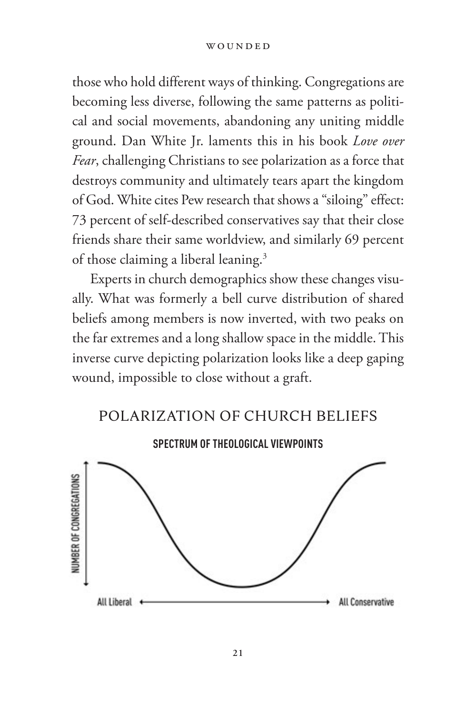#### WOUNDED

those who hold different ways of thinking. Congregations are becoming less diverse, following the same patterns as political and social movements, abandoning any uniting middle ground. Dan White Jr. laments this in his book *Love over Fear*, challenging Christians to see polarization as a force that destroys community and ultimately tears apart the kingdom of God. White cites Pew research that shows a "siloing" effect: 73 percent of self-described conservatives say that their close friends share their same worldview, and similarly 69 percent of those claiming a liberal leaning.3

Experts in church demographics show these changes visually. What was formerly a bell curve distribution of shared beliefs among members is now inverted, with two peaks on the far extremes and a long shallow space in the middle. This inverse curve depicting polarization looks like a deep gaping wound, impossible to close without a graft.



POLARIZATION OF CHURCH BELIEFS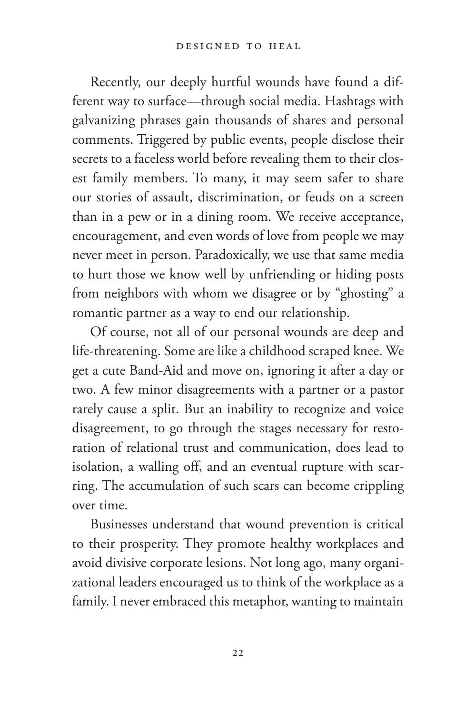Recently, our deeply hurtful wounds have found a different way to surface—through social media. Hashtags with galvanizing phrases gain thousands of shares and personal comments. Triggered by public events, people disclose their secrets to a faceless world before revealing them to their closest family members. To many, it may seem safer to share our stories of assault, discrimination, or feuds on a screen than in a pew or in a dining room. We receive acceptance, encouragement, and even words of love from people we may never meet in person. Paradoxically, we use that same media to hurt those we know well by unfriending or hiding posts from neighbors with whom we disagree or by "ghosting" a romantic partner as a way to end our relationship.

Of course, not all of our personal wounds are deep and life-threatening. Some are like a childhood scraped knee. We get a cute Band-Aid and move on, ignoring it after a day or two. A few minor disagreements with a partner or a pastor rarely cause a split. But an inability to recognize and voice disagreement, to go through the stages necessary for restoration of relational trust and communication, does lead to isolation, a walling off, and an eventual rupture with scarring. The accumulation of such scars can become crippling over time.

Businesses understand that wound prevention is critical to their prosperity. They promote healthy workplaces and avoid divisive corporate lesions. Not long ago, many organizational leaders encouraged us to think of the workplace as a family. I never embraced this metaphor, wanting to maintain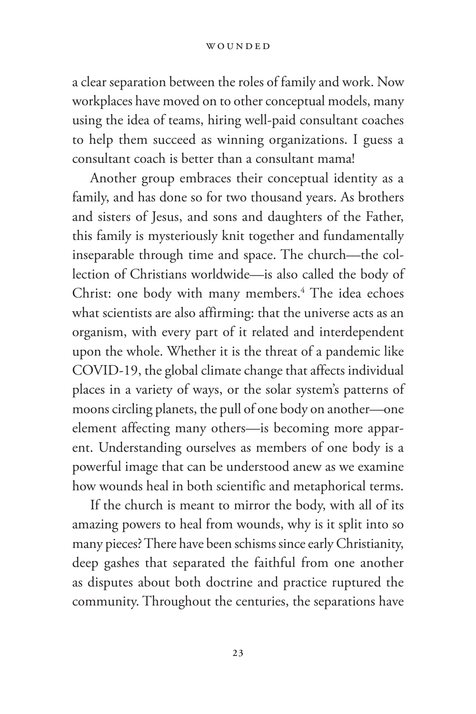#### WOUNDED

a clear separation between the roles of family and work. Now workplaces have moved on to other conceptual models, many using the idea of teams, hiring well-paid consultant coaches to help them succeed as winning organizations. I guess a consultant coach is better than a consultant mama!

Another group embraces their conceptual identity as a family, and has done so for two thousand years. As brothers and sisters of Jesus, and sons and daughters of the Father, this family is mysteriously knit together and fundamentally inseparable through time and space. The church—the collection of Christians worldwide—is also called the body of Christ: one body with many members.<sup>4</sup> The idea echoes what scientists are also affirming: that the universe acts as an organism, with every part of it related and interdependent upon the whole. Whether it is the threat of a pandemic like COVID-19, the global climate change that affects individual places in a variety of ways, or the solar system's patterns of moons circling planets, the pull of one body on another—one element affecting many others—is becoming more apparent. Understanding ourselves as members of one body is a powerful image that can be understood anew as we examine how wounds heal in both scientific and metaphorical terms.

If the church is meant to mirror the body, with all of its amazing powers to heal from wounds, why is it split into so many pieces? There have been schisms since early Christianity, deep gashes that separated the faithful from one another as disputes about both doctrine and practice ruptured the community. Throughout the centuries, the separations have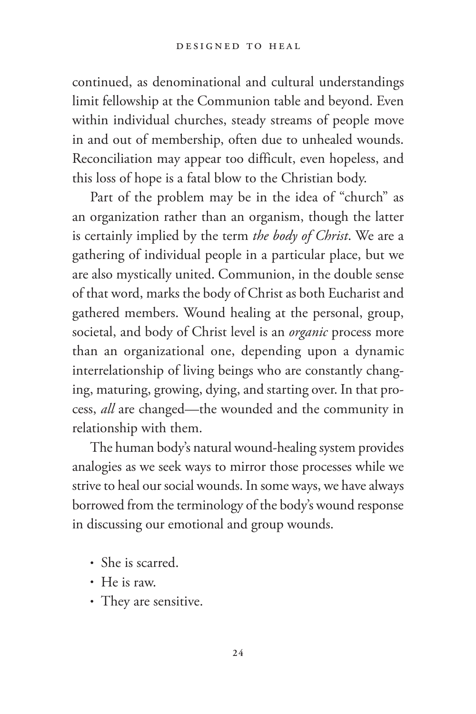continued, as denominational and cultural understandings limit fellowship at the Communion table and beyond. Even within individual churches, steady streams of people move in and out of membership, often due to unhealed wounds. Reconciliation may appear too difficult, even hopeless, and this loss of hope is a fatal blow to the Christian body.

Part of the problem may be in the idea of "church" as an organization rather than an organism, though the latter is certainly implied by the term *the body of Christ*. We are a gathering of individual people in a particular place, but we are also mystically united. Communion, in the double sense of that word, marks the body of Christ as both Eucharist and gathered members. Wound healing at the personal, group, societal, and body of Christ level is an *organic* process more than an organizational one, depending upon a dynamic interrelationship of living beings who are constantly changing, maturing, growing, dying, and starting over. In that process, *all* are changed—the wounded and the community in relationship with them.

The human body's natural wound-healing system provides analogies as we seek ways to mirror those processes while we strive to heal our social wounds. In some ways, we have always borrowed from the terminology of the body's wound response in discussing our emotional and group wounds.

- She is scarred.
- He is raw.
- They are sensitive.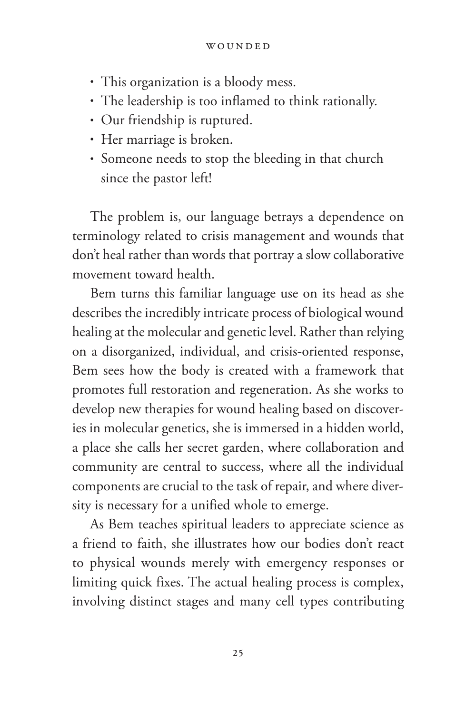#### WOUNDED

- This organization is a bloody mess.
- The leadership is too inflamed to think rationally.
- Our friendship is ruptured.
- Her marriage is broken.
- Someone needs to stop the bleeding in that church since the pastor left!

The problem is, our language betrays a dependence on terminology related to crisis management and wounds that don't heal rather than words that portray a slow collaborative movement toward health.

Bem turns this familiar language use on its head as she describes the incredibly intricate process of biological wound healing at the molecular and genetic level. Rather than relying on a disorganized, individual, and crisis-oriented response, Bem sees how the body is created with a framework that promotes full restoration and regeneration. As she works to develop new therapies for wound healing based on discoveries in molecular genetics, she is immersed in a hidden world, a place she calls her secret garden, where collaboration and community are central to success, where all the individual components are crucial to the task of repair, and where diversity is necessary for a unified whole to emerge.

As Bem teaches spiritual leaders to appreciate science as a friend to faith, she illustrates how our bodies don't react to physical wounds merely with emergency responses or limiting quick fixes. The actual healing process is complex, involving distinct stages and many cell types contributing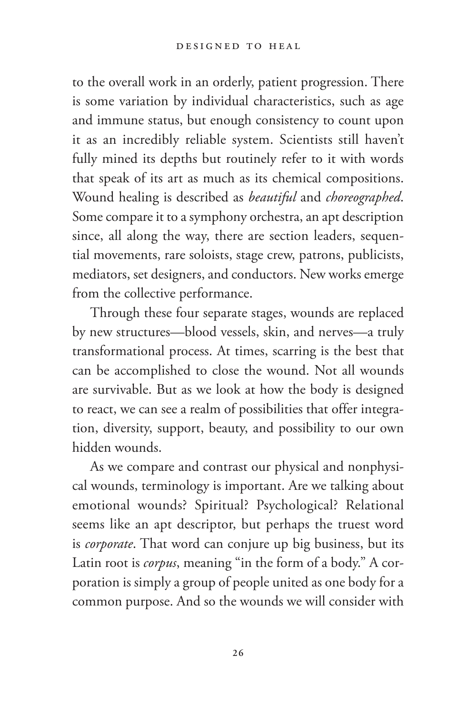to the overall work in an orderly, patient progression. There is some variation by individual characteristics, such as age and immune status, but enough consistency to count upon it as an incredibly reliable system. Scientists still haven't fully mined its depths but routinely refer to it with words that speak of its art as much as its chemical compositions. Wound healing is described as *beautiful* and *choreographed*. Some compare it to a symphony orchestra, an apt description since, all along the way, there are section leaders, sequential movements, rare soloists, stage crew, patrons, publicists, mediators, set designers, and conductors. New works emerge from the collective performance.

Through these four separate stages, wounds are replaced by new structures—blood vessels, skin, and nerves—a truly transformational process. At times, scarring is the best that can be accomplished to close the wound. Not all wounds are survivable. But as we look at how the body is designed to react, we can see a realm of possibilities that offer integration, diversity, support, beauty, and possibility to our own hidden wounds.

As we compare and contrast our physical and nonphysical wounds, terminology is important. Are we talking about emotional wounds? Spiritual? Psychological? Relational seems like an apt descriptor, but perhaps the truest word is *corporate*. That word can conjure up big business, but its Latin root is *corpus*, meaning "in the form of a body." A corporation is simply a group of people united as one body for a common purpose. And so the wounds we will consider with